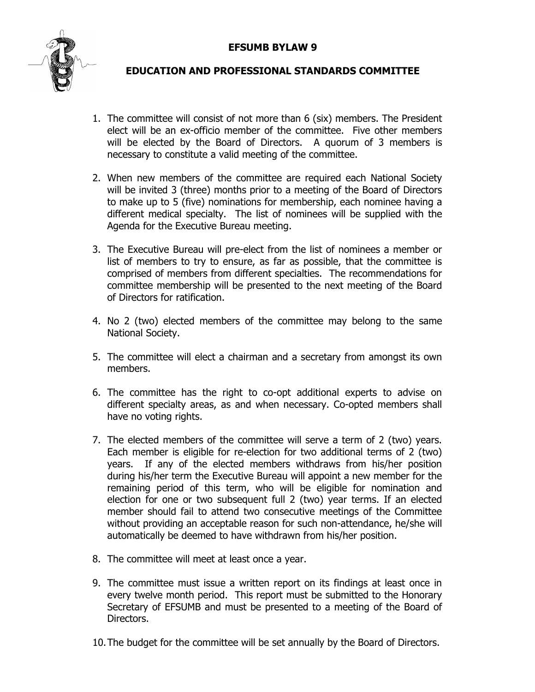## **EFSUMB BYLAW 9**



## **EDUCATION AND PROFESSIONAL STANDARDS COMMITTEE**

- 1. The committee will consist of not more than 6 (six) members. The President elect will be an ex-officio member of the committee. Five other members will be elected by the Board of Directors. A quorum of 3 members is necessary to constitute a valid meeting of the committee.
- 2. When new members of the committee are required each National Society will be invited 3 (three) months prior to a meeting of the Board of Directors to make up to 5 (five) nominations for membership, each nominee having a different medical specialty. The list of nominees will be supplied with the Agenda for the Executive Bureau meeting.
- 3. The Executive Bureau will pre-elect from the list of nominees a member or list of members to try to ensure, as far as possible, that the committee is comprised of members from different specialties. The recommendations for committee membership will be presented to the next meeting of the Board of Directors for ratification.
- 4. No 2 (two) elected members of the committee may belong to the same National Society.
- 5. The committee will elect a chairman and a secretary from amongst its own members.
- 6. The committee has the right to co-opt additional experts to advise on different specialty areas, as and when necessary. Co-opted members shall have no voting rights.
- 7. The elected members of the committee will serve a term of 2 (two) years. Each member is eligible for re-election for two additional terms of 2 (two) years. If any of the elected members withdraws from his/her position during his/her term the Executive Bureau will appoint a new member for the remaining period of this term, who will be eligible for nomination and election for one or two subsequent full 2 (two) year terms. If an elected member should fail to attend two consecutive meetings of the Committee without providing an acceptable reason for such non-attendance, he/she will automatically be deemed to have withdrawn from his/her position.
- 8. The committee will meet at least once a year.
- 9. The committee must issue a written report on its findings at least once in every twelve month period. This report must be submitted to the Honorary Secretary of EFSUMB and must be presented to a meeting of the Board of Directors.
- 10. The budget for the committee will be set annually by the Board of Directors.